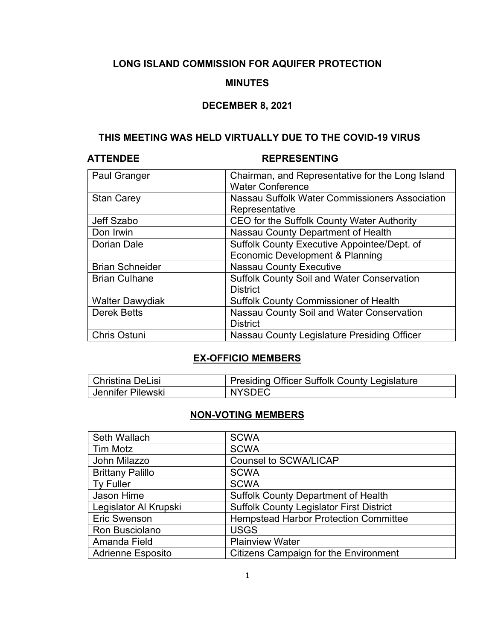# **LONG ISLAND COMMISSION FOR AQUIFER PROTECTION**

### **MINUTES**

### **DECEMBER 8, 2021**

# **THIS MEETING WAS HELD VIRTUALLY DUE TO THE COVID-19 VIRUS**

# **ATTENDEE REPRESENTING**

| <b>Paul Granger</b>    | Chairman, and Representative for the Long Island<br><b>Water Conference</b> |
|------------------------|-----------------------------------------------------------------------------|
| <b>Stan Carey</b>      | Nassau Suffolk Water Commissioners Association                              |
|                        | Representative                                                              |
| Jeff Szabo             | CEO for the Suffolk County Water Authority                                  |
| Don Irwin              | Nassau County Department of Health                                          |
| Dorian Dale            | Suffolk County Executive Appointee/Dept. of                                 |
|                        | Economic Development & Planning                                             |
| <b>Brian Schneider</b> | <b>Nassau County Executive</b>                                              |
| <b>Brian Culhane</b>   | <b>Suffolk County Soil and Water Conservation</b>                           |
|                        | <b>District</b>                                                             |
| <b>Walter Dawydiak</b> | <b>Suffolk County Commissioner of Health</b>                                |
| <b>Derek Betts</b>     | Nassau County Soil and Water Conservation                                   |
|                        | <b>District</b>                                                             |
| <b>Chris Ostuni</b>    | Nassau County Legislature Presiding Officer                                 |

# **EX-OFFICIO MEMBERS**

| Christina DeLisi  | <b>Presiding Officer Suffolk County Legislature</b> |
|-------------------|-----------------------------------------------------|
| Uennifer Pilewski | <b>NYSDEC</b>                                       |

## **NON-VOTING MEMBERS**

| Seth Wallach             | <b>SCWA</b>                                     |
|--------------------------|-------------------------------------------------|
| <b>Tim Motz</b>          | <b>SCWA</b>                                     |
| John Milazzo             | <b>Counsel to SCWA/LICAP</b>                    |
| <b>Brittany Palillo</b>  | <b>SCWA</b>                                     |
| <b>Ty Fuller</b>         | <b>SCWA</b>                                     |
| Jason Hime               | <b>Suffolk County Department of Health</b>      |
| Legislator Al Krupski    | <b>Suffolk County Legislator First District</b> |
| Eric Swenson             | <b>Hempstead Harbor Protection Committee</b>    |
| Ron Busciolano           | <b>USGS</b>                                     |
| Amanda Field             | <b>Plainview Water</b>                          |
| <b>Adrienne Esposito</b> | <b>Citizens Campaign for the Environment</b>    |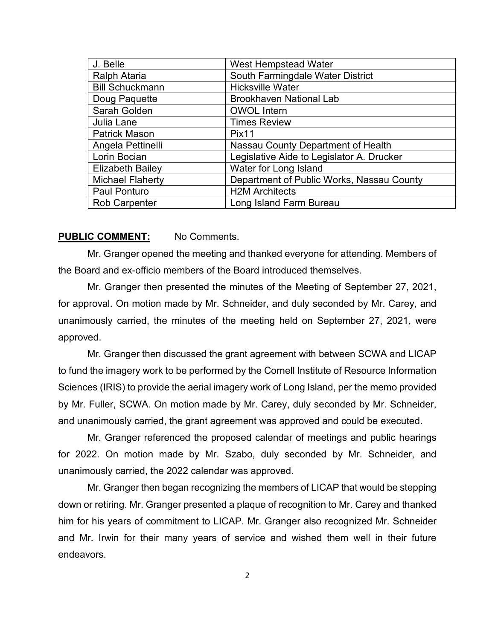| J. Belle                | <b>West Hempstead Water</b>               |
|-------------------------|-------------------------------------------|
| <b>Ralph Ataria</b>     | South Farmingdale Water District          |
| <b>Bill Schuckmann</b>  | <b>Hicksville Water</b>                   |
| Doug Paquette           | <b>Brookhaven National Lab</b>            |
| Sarah Golden            | <b>OWOL</b> Intern                        |
| Julia Lane              | <b>Times Review</b>                       |
| <b>Patrick Mason</b>    | Pix <sub>11</sub>                         |
| Angela Pettinelli       | Nassau County Department of Health        |
| Lorin Bocian            | Legislative Aide to Legislator A. Drucker |
| <b>Elizabeth Bailey</b> | Water for Long Island                     |
| <b>Michael Flaherty</b> | Department of Public Works, Nassau County |
| Paul Ponturo            | <b>H2M Architects</b>                     |
| <b>Rob Carpenter</b>    | Long Island Farm Bureau                   |

### **PUBLIC COMMENT:** No Comments.

Mr. Granger opened the meeting and thanked everyone for attending. Members of the Board and ex-officio members of the Board introduced themselves.

Mr. Granger then presented the minutes of the Meeting of September 27, 2021, for approval. On motion made by Mr. Schneider, and duly seconded by Mr. Carey, and unanimously carried, the minutes of the meeting held on September 27, 2021, were approved.

Mr. Granger then discussed the grant agreement with between SCWA and LICAP to fund the imagery work to be performed by the Cornell Institute of Resource Information Sciences (IRIS) to provide the aerial imagery work of Long Island, per the memo provided by Mr. Fuller, SCWA. On motion made by Mr. Carey, duly seconded by Mr. Schneider, and unanimously carried, the grant agreement was approved and could be executed.

Mr. Granger referenced the proposed calendar of meetings and public hearings for 2022. On motion made by Mr. Szabo, duly seconded by Mr. Schneider, and unanimously carried, the 2022 calendar was approved.

Mr. Granger then began recognizing the members of LICAP that would be stepping down or retiring. Mr. Granger presented a plaque of recognition to Mr. Carey and thanked him for his years of commitment to LICAP. Mr. Granger also recognized Mr. Schneider and Mr. Irwin for their many years of service and wished them well in their future endeavors.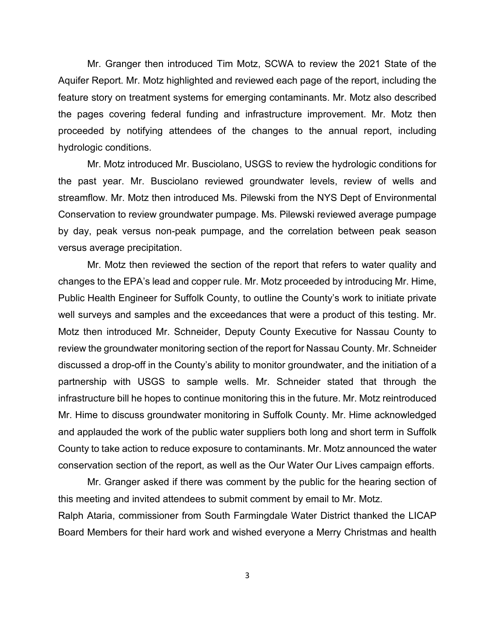Mr. Granger then introduced Tim Motz, SCWA to review the 2021 State of the Aquifer Report. Mr. Motz highlighted and reviewed each page of the report, including the feature story on treatment systems for emerging contaminants. Mr. Motz also described the pages covering federal funding and infrastructure improvement. Mr. Motz then proceeded by notifying attendees of the changes to the annual report, including hydrologic conditions.

Mr. Motz introduced Mr. Busciolano, USGS to review the hydrologic conditions for the past year. Mr. Busciolano reviewed groundwater levels, review of wells and streamflow. Mr. Motz then introduced Ms. Pilewski from the NYS Dept of Environmental Conservation to review groundwater pumpage. Ms. Pilewski reviewed average pumpage by day, peak versus non-peak pumpage, and the correlation between peak season versus average precipitation.

Mr. Motz then reviewed the section of the report that refers to water quality and changes to the EPA's lead and copper rule. Mr. Motz proceeded by introducing Mr. Hime, Public Health Engineer for Suffolk County, to outline the County's work to initiate private well surveys and samples and the exceedances that were a product of this testing. Mr. Motz then introduced Mr. Schneider, Deputy County Executive for Nassau County to review the groundwater monitoring section of the report for Nassau County. Mr. Schneider discussed a drop-off in the County's ability to monitor groundwater, and the initiation of a partnership with USGS to sample wells. Mr. Schneider stated that through the infrastructure bill he hopes to continue monitoring this in the future. Mr. Motz reintroduced Mr. Hime to discuss groundwater monitoring in Suffolk County. Mr. Hime acknowledged and applauded the work of the public water suppliers both long and short term in Suffolk County to take action to reduce exposure to contaminants. Mr. Motz announced the water conservation section of the report, as well as the Our Water Our Lives campaign efforts.

Mr. Granger asked if there was comment by the public for the hearing section of this meeting and invited attendees to submit comment by email to Mr. Motz. Ralph Ataria, commissioner from South Farmingdale Water District thanked the LICAP Board Members for their hard work and wished everyone a Merry Christmas and health

3